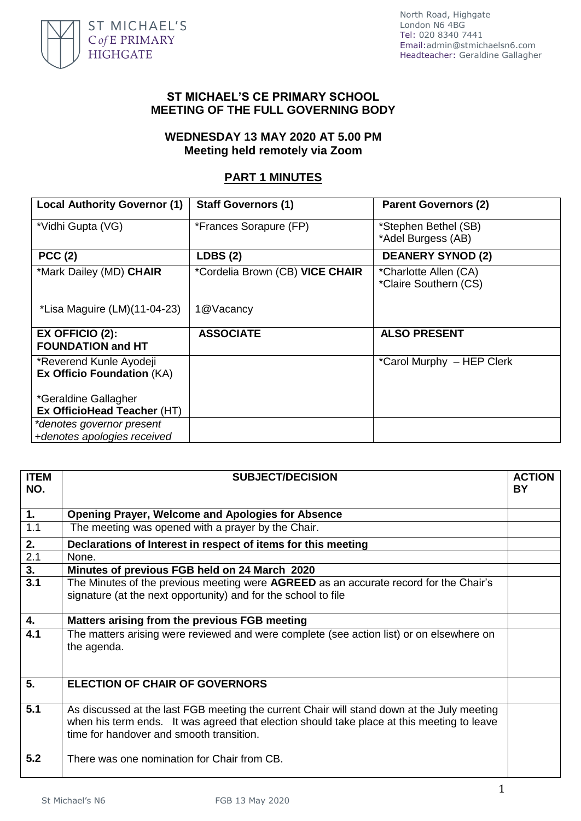

North Road, Highgate London N6 4BG Tel: 020 8340 7441 Email:admin@stmichaelsn6.com Headteacher: Geraldine Gallagher

#### **ST MICHAEL'S CE PRIMARY SCHOOL MEETING OF THE FULL GOVERNING BODY**

### **WEDNESDAY 13 MAY 2020 AT 5.00 PM Meeting held remotely via Zoom**

# **PART 1 MINUTES**

| <b>Local Authority Governor (1)</b>                          | <b>Staff Governors (1)</b>      | <b>Parent Governors (2)</b>                    |
|--------------------------------------------------------------|---------------------------------|------------------------------------------------|
| *Vidhi Gupta (VG)                                            | *Frances Sorapure (FP)          | *Stephen Bethel (SB)<br>*Adel Burgess (AB)     |
| <b>PCC (2)</b>                                               | LDBS(2)                         | <b>DEANERY SYNOD (2)</b>                       |
| *Mark Dailey (MD) CHAIR                                      | *Cordelia Brown (CB) VICE CHAIR | *Charlotte Allen (CA)<br>*Claire Southern (CS) |
| *Lisa Maguire (LM)(11-04-23)                                 | 1@Vacancy                       |                                                |
| $EX$ OFFICIO $(2)$ :<br><b>FOUNDATION and HT</b>             | <b>ASSOCIATE</b>                | <b>ALSO PRESENT</b>                            |
| *Reverend Kunle Ayodeji<br><b>Ex Officio Foundation (KA)</b> |                                 | *Carol Murphy - HEP Clerk                      |
| *Geraldine Gallagher                                         |                                 |                                                |
| Ex OfficioHead Teacher (HT)                                  |                                 |                                                |
| *denotes governor present                                    |                                 |                                                |
| +denotes apologies received                                  |                                 |                                                |

| <b>ITEM</b><br>NO. | <b>SUBJECT/DECISION</b>                                                                                                                                                                                                              | <b>ACTION</b><br>BY |
|--------------------|--------------------------------------------------------------------------------------------------------------------------------------------------------------------------------------------------------------------------------------|---------------------|
|                    |                                                                                                                                                                                                                                      |                     |
| 1.                 | <b>Opening Prayer, Welcome and Apologies for Absence</b>                                                                                                                                                                             |                     |
| 1.1                | The meeting was opened with a prayer by the Chair.                                                                                                                                                                                   |                     |
| 2.                 | Declarations of Interest in respect of items for this meeting                                                                                                                                                                        |                     |
| $\overline{2.1}$   | None.                                                                                                                                                                                                                                |                     |
| $\overline{3}$ .   | Minutes of previous FGB held on 24 March 2020                                                                                                                                                                                        |                     |
| 3.1                | The Minutes of the previous meeting were AGREED as an accurate record for the Chair's<br>signature (at the next opportunity) and for the school to file                                                                              |                     |
| 4.                 | Matters arising from the previous FGB meeting                                                                                                                                                                                        |                     |
| 4.1                | The matters arising were reviewed and were complete (see action list) or on elsewhere on<br>the agenda.                                                                                                                              |                     |
| $\overline{5}$ .   | <b>ELECTION OF CHAIR OF GOVERNORS</b>                                                                                                                                                                                                |                     |
| 5.1                | As discussed at the last FGB meeting the current Chair will stand down at the July meeting<br>when his term ends. It was agreed that election should take place at this meeting to leave<br>time for handover and smooth transition. |                     |
| 5.2                | There was one nomination for Chair from CB.                                                                                                                                                                                          |                     |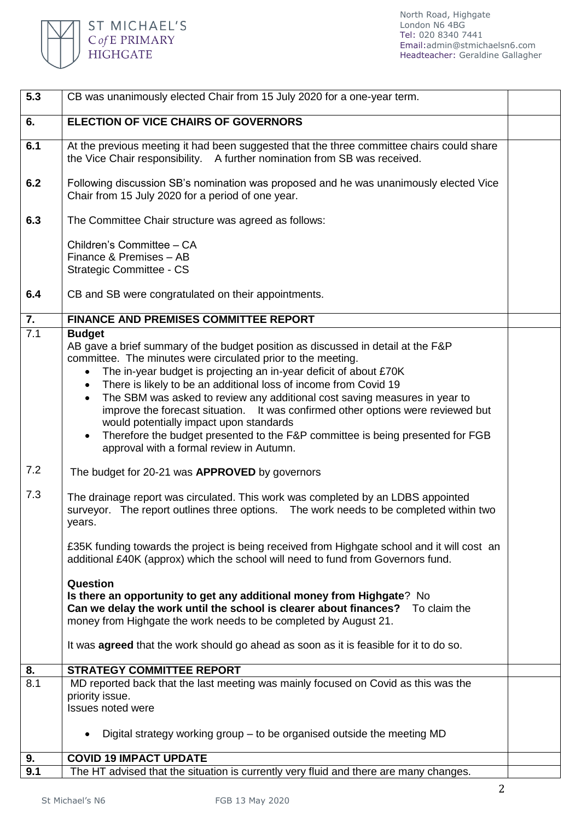

| 5.3 | CB was unanimously elected Chair from 15 July 2020 for a one-year term.                                                                                                                                                                                                                                                                                                                                                                                                                                                                                                                                                                                                                                   |  |
|-----|-----------------------------------------------------------------------------------------------------------------------------------------------------------------------------------------------------------------------------------------------------------------------------------------------------------------------------------------------------------------------------------------------------------------------------------------------------------------------------------------------------------------------------------------------------------------------------------------------------------------------------------------------------------------------------------------------------------|--|
| 6.  | <b>ELECTION OF VICE CHAIRS OF GOVERNORS</b>                                                                                                                                                                                                                                                                                                                                                                                                                                                                                                                                                                                                                                                               |  |
| 6.1 | At the previous meeting it had been suggested that the three committee chairs could share<br>the Vice Chair responsibility. A further nomination from SB was received.                                                                                                                                                                                                                                                                                                                                                                                                                                                                                                                                    |  |
| 6.2 | Following discussion SB's nomination was proposed and he was unanimously elected Vice<br>Chair from 15 July 2020 for a period of one year.                                                                                                                                                                                                                                                                                                                                                                                                                                                                                                                                                                |  |
| 6.3 | The Committee Chair structure was agreed as follows:                                                                                                                                                                                                                                                                                                                                                                                                                                                                                                                                                                                                                                                      |  |
|     | Children's Committee - CA<br>Finance & Premises - AB<br>Strategic Committee - CS                                                                                                                                                                                                                                                                                                                                                                                                                                                                                                                                                                                                                          |  |
| 6.4 | CB and SB were congratulated on their appointments.                                                                                                                                                                                                                                                                                                                                                                                                                                                                                                                                                                                                                                                       |  |
| 7.  | <b>FINANCE AND PREMISES COMMITTEE REPORT</b>                                                                                                                                                                                                                                                                                                                                                                                                                                                                                                                                                                                                                                                              |  |
| 7.1 | <b>Budget</b><br>AB gave a brief summary of the budget position as discussed in detail at the F&P<br>committee. The minutes were circulated prior to the meeting.<br>The in-year budget is projecting an in-year deficit of about £70K<br>$\bullet$<br>There is likely to be an additional loss of income from Covid 19<br>$\bullet$<br>The SBM was asked to review any additional cost saving measures in year to<br>$\bullet$<br>improve the forecast situation. It was confirmed other options were reviewed but<br>would potentially impact upon standards<br>Therefore the budget presented to the F&P committee is being presented for FGB<br>$\bullet$<br>approval with a formal review in Autumn. |  |
| 7.2 | The budget for 20-21 was APPROVED by governors                                                                                                                                                                                                                                                                                                                                                                                                                                                                                                                                                                                                                                                            |  |
| 7.3 | The drainage report was circulated. This work was completed by an LDBS appointed<br>surveyor. The report outlines three options. The work needs to be completed within two<br>years.                                                                                                                                                                                                                                                                                                                                                                                                                                                                                                                      |  |
|     | £35K funding towards the project is being received from Highgate school and it will cost an<br>additional £40K (approx) which the school will need to fund from Governors fund.                                                                                                                                                                                                                                                                                                                                                                                                                                                                                                                           |  |
|     | Question<br>Is there an opportunity to get any additional money from Highgate? No<br>Can we delay the work until the school is clearer about finances?<br>To claim the<br>money from Highgate the work needs to be completed by August 21.                                                                                                                                                                                                                                                                                                                                                                                                                                                                |  |
|     | It was <b>agreed</b> that the work should go ahead as soon as it is feasible for it to do so.                                                                                                                                                                                                                                                                                                                                                                                                                                                                                                                                                                                                             |  |
| 8.  | <b>STRATEGY COMMITTEE REPORT</b>                                                                                                                                                                                                                                                                                                                                                                                                                                                                                                                                                                                                                                                                          |  |
| 8.1 | MD reported back that the last meeting was mainly focused on Covid as this was the<br>priority issue.<br>Issues noted were                                                                                                                                                                                                                                                                                                                                                                                                                                                                                                                                                                                |  |
|     | Digital strategy working group $-$ to be organised outside the meeting MD<br>٠                                                                                                                                                                                                                                                                                                                                                                                                                                                                                                                                                                                                                            |  |
| 9.  | <b>COVID 19 IMPACT UPDATE</b>                                                                                                                                                                                                                                                                                                                                                                                                                                                                                                                                                                                                                                                                             |  |
| 9.1 | The HT advised that the situation is currently very fluid and there are many changes.                                                                                                                                                                                                                                                                                                                                                                                                                                                                                                                                                                                                                     |  |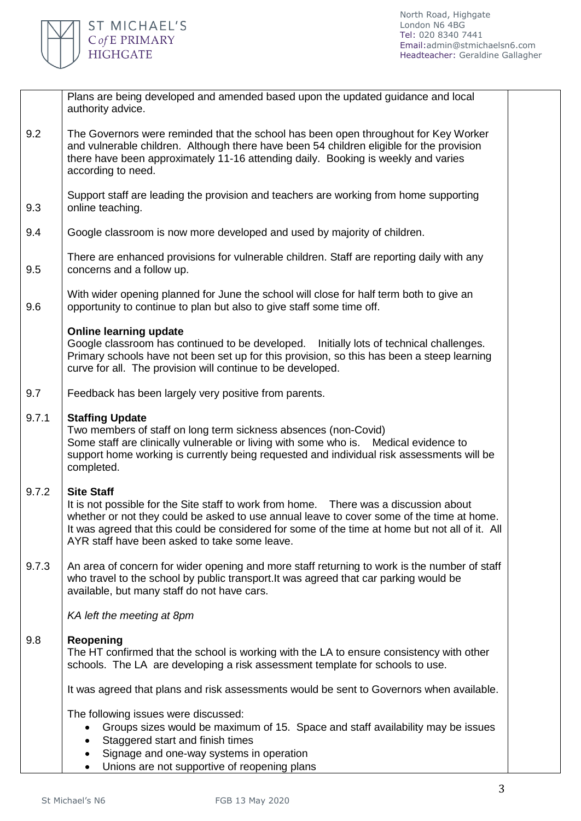

|       | Plans are being developed and amended based upon the updated guidance and local<br>authority advice.                                                                                                                                                                                                                                                        |
|-------|-------------------------------------------------------------------------------------------------------------------------------------------------------------------------------------------------------------------------------------------------------------------------------------------------------------------------------------------------------------|
| 9.2   | The Governors were reminded that the school has been open throughout for Key Worker<br>and vulnerable children. Although there have been 54 children eligible for the provision<br>there have been approximately 11-16 attending daily. Booking is weekly and varies<br>according to need.                                                                  |
| 9.3   | Support staff are leading the provision and teachers are working from home supporting<br>online teaching.                                                                                                                                                                                                                                                   |
| 9.4   | Google classroom is now more developed and used by majority of children.                                                                                                                                                                                                                                                                                    |
| 9.5   | There are enhanced provisions for vulnerable children. Staff are reporting daily with any<br>concerns and a follow up.                                                                                                                                                                                                                                      |
| 9.6   | With wider opening planned for June the school will close for half term both to give an<br>opportunity to continue to plan but also to give staff some time off.                                                                                                                                                                                            |
|       | <b>Online learning update</b><br>Google classroom has continued to be developed. Initially lots of technical challenges.<br>Primary schools have not been set up for this provision, so this has been a steep learning<br>curve for all. The provision will continue to be developed.                                                                       |
| 9.7   | Feedback has been largely very positive from parents.                                                                                                                                                                                                                                                                                                       |
| 9.7.1 | <b>Staffing Update</b><br>Two members of staff on long term sickness absences (non-Covid)<br>Some staff are clinically vulnerable or living with some who is. Medical evidence to<br>support home working is currently being requested and individual risk assessments will be<br>completed.                                                                |
| 9.7.2 | <b>Site Staff</b><br>It is not possible for the Site staff to work from home. There was a discussion about<br>whether or not they could be asked to use annual leave to cover some of the time at home.<br>It was agreed that this could be considered for some of the time at home but not all of it. All<br>AYR staff have been asked to take some leave. |
| 9.7.3 | An area of concern for wider opening and more staff returning to work is the number of staff<br>who travel to the school by public transport. It was agreed that car parking would be<br>available, but many staff do not have cars.                                                                                                                        |
|       | KA left the meeting at 8pm                                                                                                                                                                                                                                                                                                                                  |
| 9.8   | <b>Reopening</b><br>The HT confirmed that the school is working with the LA to ensure consistency with other<br>schools. The LA are developing a risk assessment template for schools to use.                                                                                                                                                               |
|       | It was agreed that plans and risk assessments would be sent to Governors when available.                                                                                                                                                                                                                                                                    |
|       | The following issues were discussed:<br>Groups sizes would be maximum of 15. Space and staff availability may be issues<br>Staggered start and finish times<br>Signage and one-way systems in operation<br>Unions are not supportive of reopening plans                                                                                                     |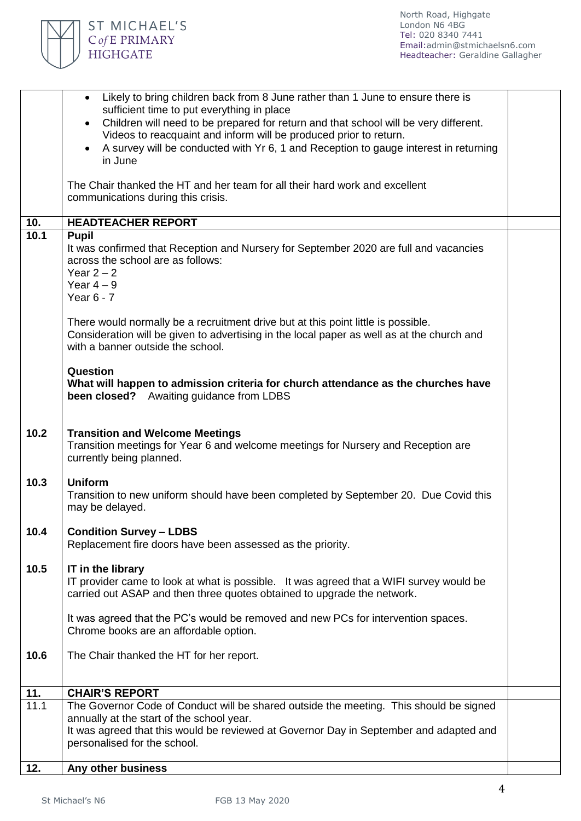

|      | • Likely to bring children back from 8 June rather than 1 June to ensure there is<br>sufficient time to put everything in place<br>Children will need to be prepared for return and that school will be very different.<br>Videos to reacquaint and inform will be produced prior to return.<br>A survey will be conducted with Yr 6, 1 and Reception to gauge interest in returning<br>$\bullet$<br>in June<br>The Chair thanked the HT and her team for all their hard work and excellent |  |
|------|---------------------------------------------------------------------------------------------------------------------------------------------------------------------------------------------------------------------------------------------------------------------------------------------------------------------------------------------------------------------------------------------------------------------------------------------------------------------------------------------|--|
|      | communications during this crisis.                                                                                                                                                                                                                                                                                                                                                                                                                                                          |  |
| 10.  | <b>HEADTEACHER REPORT</b>                                                                                                                                                                                                                                                                                                                                                                                                                                                                   |  |
| 10.1 | <b>Pupil</b><br>It was confirmed that Reception and Nursery for September 2020 are full and vacancies<br>across the school are as follows:<br>Year $2 - 2$<br>Year $4-9$<br>Year $6 - 7$                                                                                                                                                                                                                                                                                                    |  |
|      | There would normally be a recruitment drive but at this point little is possible.<br>Consideration will be given to advertising in the local paper as well as at the church and<br>with a banner outside the school.                                                                                                                                                                                                                                                                        |  |
|      | Question<br>What will happen to admission criteria for church attendance as the churches have<br><b>been closed?</b> Awaiting guidance from LDBS                                                                                                                                                                                                                                                                                                                                            |  |
| 10.2 | <b>Transition and Welcome Meetings</b><br>Transition meetings for Year 6 and welcome meetings for Nursery and Reception are<br>currently being planned.                                                                                                                                                                                                                                                                                                                                     |  |
| 10.3 | <b>Uniform</b><br>Transition to new uniform should have been completed by September 20. Due Covid this<br>may be delayed.                                                                                                                                                                                                                                                                                                                                                                   |  |
| 10.4 | <b>Condition Survey - LDBS</b><br>Replacement fire doors have been assessed as the priority.                                                                                                                                                                                                                                                                                                                                                                                                |  |
| 10.5 | IT in the library<br>IT provider came to look at what is possible. It was agreed that a WIFI survey would be<br>carried out ASAP and then three quotes obtained to upgrade the network.                                                                                                                                                                                                                                                                                                     |  |
|      | It was agreed that the PC's would be removed and new PCs for intervention spaces.<br>Chrome books are an affordable option.                                                                                                                                                                                                                                                                                                                                                                 |  |
| 10.6 | The Chair thanked the HT for her report.                                                                                                                                                                                                                                                                                                                                                                                                                                                    |  |
| 11.  | <b>CHAIR'S REPORT</b>                                                                                                                                                                                                                                                                                                                                                                                                                                                                       |  |
| 11.1 | The Governor Code of Conduct will be shared outside the meeting. This should be signed<br>annually at the start of the school year.<br>It was agreed that this would be reviewed at Governor Day in September and adapted and<br>personalised for the school.                                                                                                                                                                                                                               |  |
| 12.  | Any other business                                                                                                                                                                                                                                                                                                                                                                                                                                                                          |  |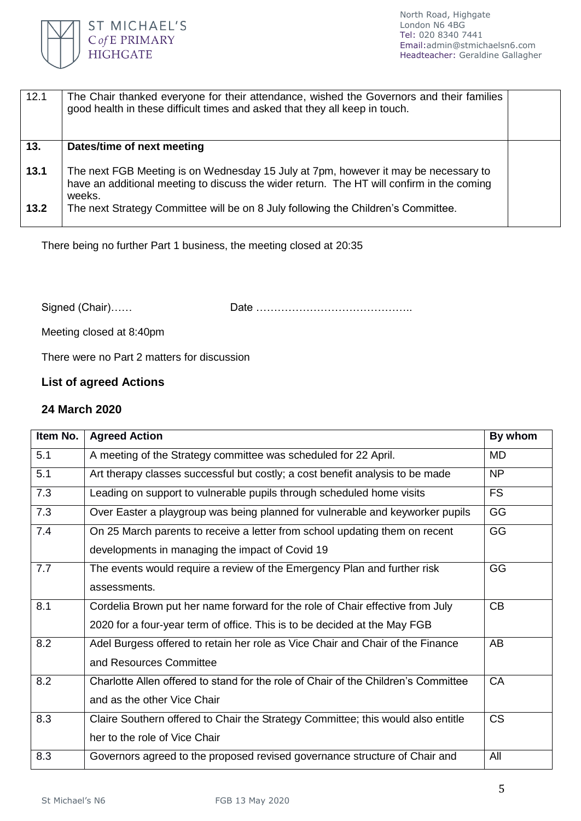

| 12.1 | The Chair thanked everyone for their attendance, wished the Governors and their families<br>good health in these difficult times and asked that they all keep in touch. |  |
|------|-------------------------------------------------------------------------------------------------------------------------------------------------------------------------|--|
| 13.  | Dates/time of next meeting                                                                                                                                              |  |
|      |                                                                                                                                                                         |  |
| 13.1 | The next FGB Meeting is on Wednesday 15 July at 7pm, however it may be necessary to                                                                                     |  |
|      | have an additional meeting to discuss the wider return. The HT will confirm in the coming                                                                               |  |
|      | weeks.                                                                                                                                                                  |  |
|      |                                                                                                                                                                         |  |
| 13.2 | The next Strategy Committee will be on 8 July following the Children's Committee.                                                                                       |  |
|      |                                                                                                                                                                         |  |

There being no further Part 1 business, the meeting closed at 20:35

Signed (Chair)…… Date ……………………………………..

Meeting closed at 8:40pm

There were no Part 2 matters for discussion

# **List of agreed Actions**

#### **24 March 2020**

| Item No. | <b>Agreed Action</b>                                                               | By whom   |
|----------|------------------------------------------------------------------------------------|-----------|
| 5.1      | A meeting of the Strategy committee was scheduled for 22 April.                    | MD        |
| 5.1      | Art therapy classes successful but costly; a cost benefit analysis to be made      | NP        |
| 7.3      | Leading on support to vulnerable pupils through scheduled home visits              | <b>FS</b> |
| 7.3      | Over Easter a playgroup was being planned for vulnerable and keyworker pupils      | GG        |
| 7.4      | On 25 March parents to receive a letter from school updating them on recent        | GG        |
|          | developments in managing the impact of Covid 19                                    |           |
| 7.7      | The events would require a review of the Emergency Plan and further risk           | GG        |
|          | assessments.                                                                       |           |
| 8.1      | Cordelia Brown put her name forward for the role of Chair effective from July      | CB        |
|          | 2020 for a four-year term of office. This is to be decided at the May FGB          |           |
| 8.2      | Adel Burgess offered to retain her role as Vice Chair and Chair of the Finance     | AB        |
|          | and Resources Committee                                                            |           |
| 8.2      | Charlotte Allen offered to stand for the role of Chair of the Children's Committee | CA        |
|          | and as the other Vice Chair                                                        |           |
| 8.3      | Claire Southern offered to Chair the Strategy Committee; this would also entitle   | <b>CS</b> |
|          | her to the role of Vice Chair                                                      |           |
| 8.3      | Governors agreed to the proposed revised governance structure of Chair and         | All       |